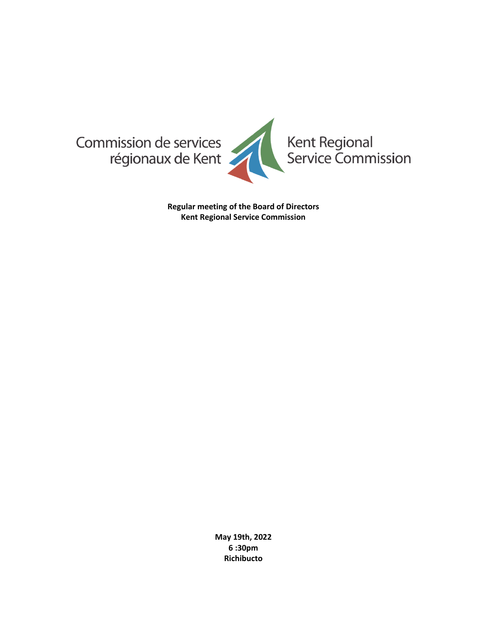

**Regular meeting of the Board of Directors Kent Regional Service Commission**

> **May 19th, 2022 6 :30pm Richibucto**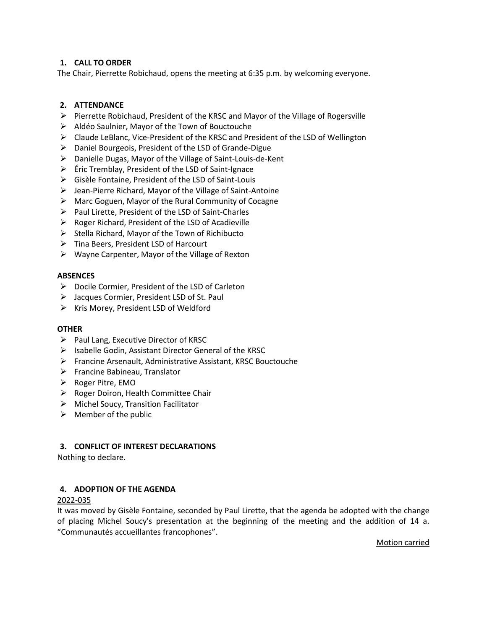# **1. CALL TO ORDER**

The Chair, Pierrette Robichaud, opens the meeting at 6:35 p.m. by welcoming everyone.

# **2. ATTENDANCE**

- ➢ Pierrette Robichaud, President of the KRSC and Mayor of the Village of Rogersville
- ➢ Aldéo Saulnier, Mayor of the Town of Bouctouche
- $\triangleright$  Claude LeBlanc, Vice-President of the KRSC and President of the LSD of Wellington
- ➢ Daniel Bourgeois, President of the LSD of Grande-Digue
- ➢ Danielle Dugas, Mayor of the Village of Saint-Louis-de-Kent
- $\triangleright$  Éric Tremblay, President of the LSD of Saint-Ignace
- ➢ Gisèle Fontaine, President of the LSD of Saint-Louis
- $\triangleright$  Jean-Pierre Richard, Mayor of the Village of Saint-Antoine
- ➢ Marc Goguen, Mayor of the Rural Community of Cocagne
- ➢ Paul Lirette, President of the LSD of Saint-Charles
- ➢ Roger Richard, President of the LSD of Acadieville
- $\triangleright$  Stella Richard, Mayor of the Town of Richibucto
- ➢ Tina Beers, President LSD of Harcourt
- ➢ Wayne Carpenter, Mayor of the Village of Rexton

### **ABSENCES**

- ➢ Docile Cormier, President of the LSD of Carleton
- ➢ Jacques Cormier, President LSD of St. Paul
- ➢ Kris Morey, President LSD of Weldford

#### **OTHER**

- ➢ Paul Lang, Executive Director of KRSC
- ➢ Isabelle Godin, Assistant Director General of the KRSC
- ➢ Francine Arsenault, Administrative Assistant, KRSC Bouctouche
- ➢ Francine Babineau, Translator
- ➢ Roger Pitre, EMO
- ➢ Roger Doiron, Health Committee Chair
- ➢ Michel Soucy, Transition Facilitator
- $\triangleright$  Member of the public

# **3. CONFLICT OF INTEREST DECLARATIONS**

Nothing to declare.

# **4. ADOPTION OF THE AGENDA**

# 2022-035

It was moved by Gisèle Fontaine, seconded by Paul Lirette, that the agenda be adopted with the change of placing Michel Soucy's presentation at the beginning of the meeting and the addition of 14 a. "Communautés accueillantes francophones".

Motion carried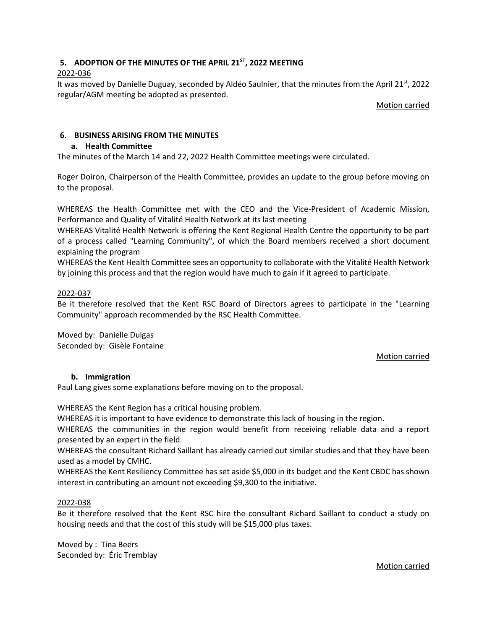# **5. ADOPTION OF THE MINUTES OF THE APRIL 21ST , 2022 MEETING**

# 2022-036

It was moved by Danielle Duguay, seconded by Aldéo Saulnier, that the minutes from the April 21<sup>st</sup>, 2022 regular/AGM meeting be adopted as presented.

Motion carried

# **6. BUSINESS ARISING FROM THE MINUTES**

# **a. Health Committee**

The minutes of the March 14 and 22, 2022 Health Committee meetings were circulated.

Roger Doiron, Chairperson of the Health Committee, provides an update to the group before moving on to the proposal.

WHEREAS the Health Committee met with the CEO and the Vice-President of Academic Mission, Performance and Quality of Vitalité Health Network at its last meeting

WHEREAS Vitalité Health Network is offering the Kent Regional Health Centre the opportunity to be part of a process called "Learning Community", of which the Board members received a short document explaining the program

WHEREAS the Kent Health Committee sees an opportunity to collaborate with the Vitalité Health Network by joining this process and that the region would have much to gain if it agreed to participate.

# 2022-037

Be it therefore resolved that the Kent RSC Board of Directors agrees to participate in the "Learning Community" approach recommended by the RSC Health Committee.

Moved by: Danielle Dulgas Seconded by: Gisèle Fontaine

# Motion carried

# **b. Immigration**

Paul Lang gives some explanations before moving on to the proposal.

WHEREAS the Kent Region has a critical housing problem.

WHEREAS it is important to have evidence to demonstrate this lack of housing in the region.

WHEREAS the communities in the region would benefit from receiving reliable data and a report presented by an expert in the field.

WHEREAS the consultant Richard Saillant has already carried out similar studies and that they have been used as a model by CMHC.

WHEREAS the Kent Resiliency Committee has set aside \$5,000 in its budget and the Kent CBDC has shown interest in contributing an amount not exceeding \$9,300 to the initiative.

# 2022-038

Be it therefore resolved that the Kent RSC hire the consultant Richard Saillant to conduct a study on housing needs and that the cost of this study will be \$15,000 plus taxes.

Moved by : Tina Beers Seconded by: Éric Tremblay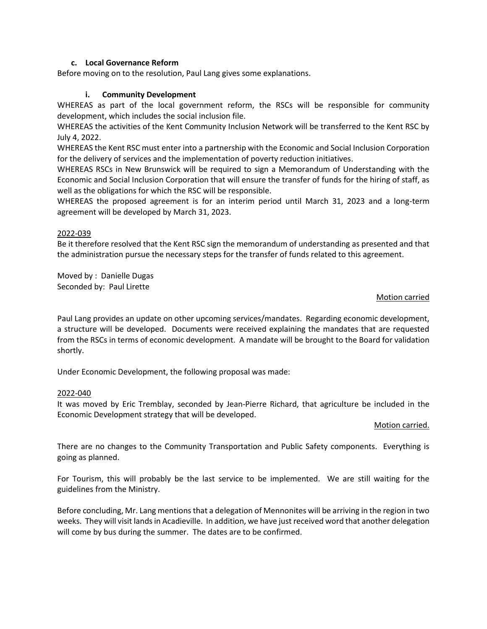### **c. Local Governance Reform**

Before moving on to the resolution, Paul Lang gives some explanations.

### **i. Community Development**

WHEREAS as part of the local government reform, the RSCs will be responsible for community development, which includes the social inclusion file.

WHEREAS the activities of the Kent Community Inclusion Network will be transferred to the Kent RSC by July 4, 2022.

WHEREAS the Kent RSC must enter into a partnership with the Economic and Social Inclusion Corporation for the delivery of services and the implementation of poverty reduction initiatives.

WHEREAS RSCs in New Brunswick will be required to sign a Memorandum of Understanding with the Economic and Social Inclusion Corporation that will ensure the transfer of funds for the hiring of staff, as well as the obligations for which the RSC will be responsible.

WHEREAS the proposed agreement is for an interim period until March 31, 2023 and a long-term agreement will be developed by March 31, 2023.

### 2022-039

Be it therefore resolved that the Kent RSC sign the memorandum of understanding as presented and that the administration pursue the necessary steps for the transfer of funds related to this agreement.

Moved by : Danielle Dugas Seconded by: Paul Lirette

### Motion carried

Paul Lang provides an update on other upcoming services/mandates. Regarding economic development, a structure will be developed. Documents were received explaining the mandates that are requested from the RSCs in terms of economic development. A mandate will be brought to the Board for validation shortly.

Under Economic Development, the following proposal was made:

# 2022-040

It was moved by Eric Tremblay, seconded by Jean-Pierre Richard, that agriculture be included in the Economic Development strategy that will be developed.

#### Motion carried.

There are no changes to the Community Transportation and Public Safety components. Everything is going as planned.

For Tourism, this will probably be the last service to be implemented. We are still waiting for the guidelines from the Ministry.

Before concluding, Mr. Lang mentions that a delegation of Mennonites will be arriving in the region in two weeks. They will visit lands in Acadieville. In addition, we have just received word that another delegation will come by bus during the summer. The dates are to be confirmed.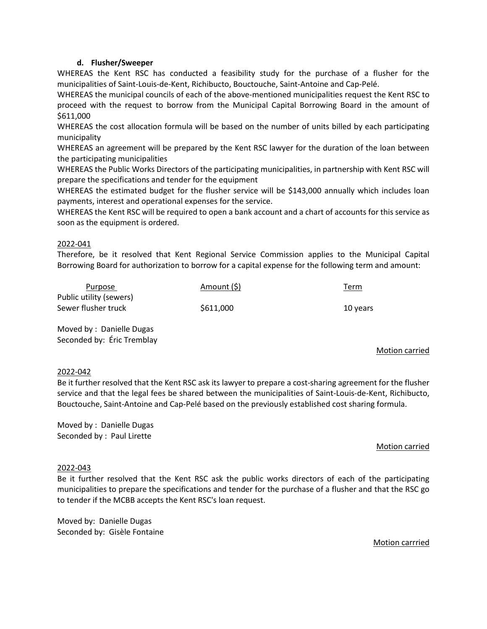### **d. Flusher/Sweeper**

WHEREAS the Kent RSC has conducted a feasibility study for the purchase of a flusher for the municipalities of Saint-Louis-de-Kent, Richibucto, Bouctouche, Saint-Antoine and Cap-Pelé.

WHEREAS the municipal councils of each of the above-mentioned municipalities request the Kent RSC to proceed with the request to borrow from the Municipal Capital Borrowing Board in the amount of \$611,000

WHEREAS the cost allocation formula will be based on the number of units billed by each participating municipality

WHEREAS an agreement will be prepared by the Kent RSC lawyer for the duration of the loan between the participating municipalities

WHEREAS the Public Works Directors of the participating municipalities, in partnership with Kent RSC will prepare the specifications and tender for the equipment

WHEREAS the estimated budget for the flusher service will be \$143,000 annually which includes loan payments, interest and operational expenses for the service.

WHEREAS the Kent RSC will be required to open a bank account and a chart of accounts for this service as soon as the equipment is ordered.

### 2022-041

Therefore, be it resolved that Kent Regional Service Commission applies to the Municipal Capital Borrowing Board for authorization to borrow for a capital expense for the following term and amount:

| Purpose                 | Amount (\$) | <u>Term</u> |
|-------------------------|-------------|-------------|
| Public utility (sewers) |             |             |
| Sewer flusher truck     | \$611,000   | 10 years    |
|                         |             |             |

Moved by : Danielle Dugas Seconded by: Éric Tremblay

#### Motion carried

#### 2022-042

Be it further resolved that the Kent RSC ask its lawyer to prepare a cost-sharing agreement for the flusher service and that the legal fees be shared between the municipalities of Saint-Louis-de-Kent, Richibucto, Bouctouche, Saint-Antoine and Cap-Pelé based on the previously established cost sharing formula.

Moved by : Danielle Dugas Seconded by : Paul Lirette

#### Motion carried

#### 2022-043

Be it further resolved that the Kent RSC ask the public works directors of each of the participating municipalities to prepare the specifications and tender for the purchase of a flusher and that the RSC go to tender if the MCBB accepts the Kent RSC's loan request.

Moved by: Danielle Dugas Seconded by: Gisèle Fontaine

#### Motion carrried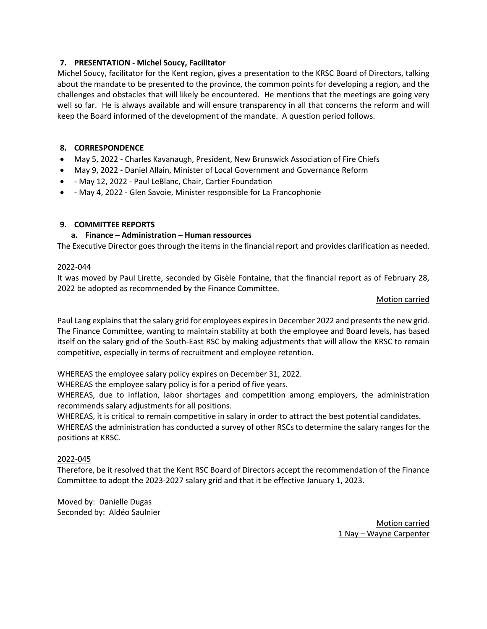# **7. PRESENTATION - Michel Soucy, Facilitator**

Michel Soucy, facilitator for the Kent region, gives a presentation to the KRSC Board of Directors, talking about the mandate to be presented to the province, the common points for developing a region, and the challenges and obstacles that will likely be encountered. He mentions that the meetings are going very well so far. He is always available and will ensure transparency in all that concerns the reform and will keep the Board informed of the development of the mandate. A question period follows.

# **8. CORRESPONDENCE**

- May 5, 2022 Charles Kavanaugh, President, New Brunswick Association of Fire Chiefs
- May 9, 2022 Daniel Allain, Minister of Local Government and Governance Reform
- - May 12, 2022 Paul LeBlanc, Chair, Cartier Foundation
- - May 4, 2022 Glen Savoie, Minister responsible for La Francophonie

# **9. COMMITTEE REPORTS**

# **a. Finance – Administration – Human ressources**

The Executive Director goes through the items in the financial report and provides clarification as needed.

# 2022-044

It was moved by Paul Lirette, seconded by Gisèle Fontaine, that the financial report as of February 28, 2022 be adopted as recommended by the Finance Committee.

### Motion carried

Paul Lang explains that the salary grid for employees expires in December 2022 and presents the new grid. The Finance Committee, wanting to maintain stability at both the employee and Board levels, has based itself on the salary grid of the South-East RSC by making adjustments that will allow the KRSC to remain competitive, especially in terms of recruitment and employee retention.

WHEREAS the employee salary policy expires on December 31, 2022.

WHEREAS the employee salary policy is for a period of five years.

WHEREAS, due to inflation, labor shortages and competition among employers, the administration recommends salary adjustments for all positions.

WHEREAS, it is critical to remain competitive in salary in order to attract the best potential candidates. WHEREAS the administration has conducted a survey of other RSCs to determine the salary ranges for the positions at KRSC.

# 2022-045

Therefore, be it resolved that the Kent RSC Board of Directors accept the recommendation of the Finance Committee to adopt the 2023-2027 salary grid and that it be effective January 1, 2023.

Moved by: Danielle Dugas Seconded by: Aldéo Saulnier

> Motion carried 1 Nay – Wayne Carpenter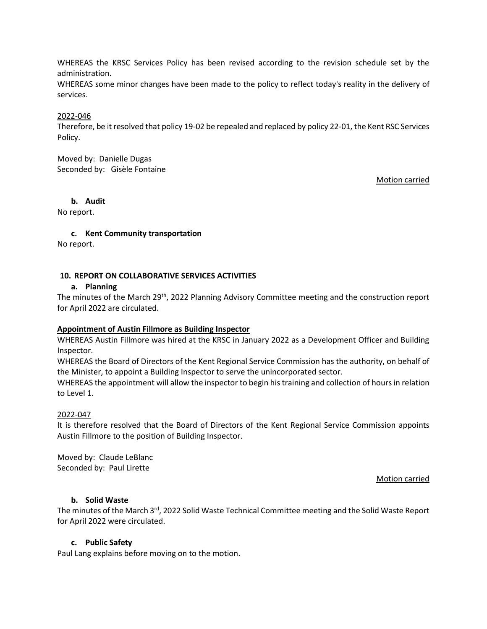WHEREAS the KRSC Services Policy has been revised according to the revision schedule set by the administration.

WHEREAS some minor changes have been made to the policy to reflect today's reality in the delivery of services.

#### 2022-046

Therefore, be it resolved that policy 19-02 be repealed and replaced by policy 22-01, the Kent RSC Services Policy.

Moved by: Danielle Dugas Seconded by: Gisèle Fontaine

Motion carried

### **b. Audit**

No report.

**c. Kent Community transportation**

No report.

### **10. REPORT ON COLLABORATIVE SERVICES ACTIVITIES**

#### **a. Planning**

The minutes of the March 29<sup>th</sup>, 2022 Planning Advisory Committee meeting and the construction report for April 2022 are circulated.

#### **Appointment of Austin Fillmore as Building Inspector**

WHEREAS Austin Fillmore was hired at the KRSC in January 2022 as a Development Officer and Building Inspector.

WHEREAS the Board of Directors of the Kent Regional Service Commission has the authority, on behalf of the Minister, to appoint a Building Inspector to serve the unincorporated sector.

WHEREAS the appointment will allow the inspector to begin his training and collection of hours in relation to Level 1.

# 2022-047

It is therefore resolved that the Board of Directors of the Kent Regional Service Commission appoints Austin Fillmore to the position of Building Inspector.

Moved by: Claude LeBlanc Seconded by: Paul Lirette

Motion carried

#### **b. Solid Waste**

The minutes of the March 3<sup>rd</sup>, 2022 Solid Waste Technical Committee meeting and the Solid Waste Report for April 2022 were circulated.

#### **c. Public Safety**

Paul Lang explains before moving on to the motion.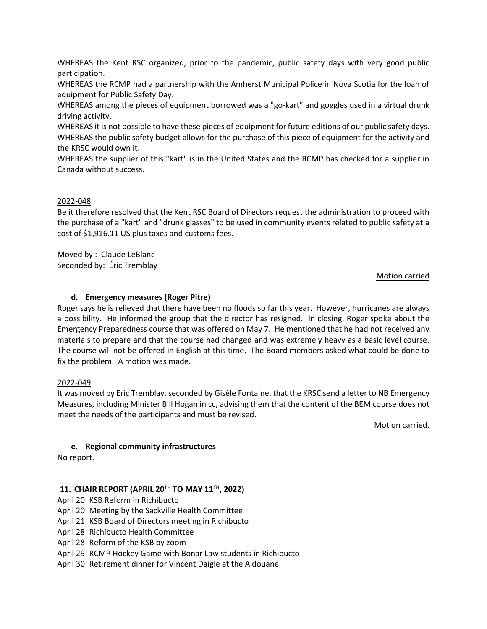WHEREAS the Kent RSC organized, prior to the pandemic, public safety days with very good public participation.

WHEREAS the RCMP had a partnership with the Amherst Municipal Police in Nova Scotia for the loan of equipment for Public Safety Day.

WHEREAS among the pieces of equipment borrowed was a "go-kart" and goggles used in a virtual drunk driving activity.

WHEREAS it is not possible to have these pieces of equipment for future editions of our public safety days. WHEREAS the public safety budget allows for the purchase of this piece of equipment for the activity and the KRSC would own it.

WHEREAS the supplier of this "kart" is in the United States and the RCMP has checked for a supplier in Canada without success.

### 2022-048

Be it therefore resolved that the Kent RSC Board of Directors request the administration to proceed with the purchase of a "kart" and "drunk glasses" to be used in community events related to public safety at a cost of \$1,916.11 US plus taxes and customs fees.

Moved by : Claude LeBlanc Seconded by: Éric Tremblay

### Motion carried

# **d. Emergency measures (Roger Pitre)**

Roger says he is relieved that there have been no floods so far this year. However, hurricanes are always a possibility. He informed the group that the director has resigned. In closing, Roger spoke about the Emergency Preparedness course that was offered on May 7. He mentioned that he had not received any materials to prepare and that the course had changed and was extremely heavy as a basic level course. The course will not be offered in English at this time. The Board members asked what could be done to fix the problem. A motion was made.

#### 2022-049

It was moved by Eric Tremblay, seconded by Gisèle Fontaine, that the KRSC send a letter to NB Emergency Measures, including Minister Bill Hogan in cc, advising them that the content of the BEM course does not meet the needs of the participants and must be revised.

Motion carried.

# **e. Regional community infrastructures**

No report.

# **11. CHAIR REPORT (APRIL 20TH TO MAY 11TH, 2022)**

April 20: KSB Reform in Richibucto

April 20: Meeting by the Sackville Health Committee

April 21: KSB Board of Directors meeting in Richibucto

April 28: Richibucto Health Committee

April 28: Reform of the KSB by zoom

April 29: RCMP Hockey Game with Bonar Law students in Richibucto

April 30: Retirement dinner for Vincent Daigle at the Aldouane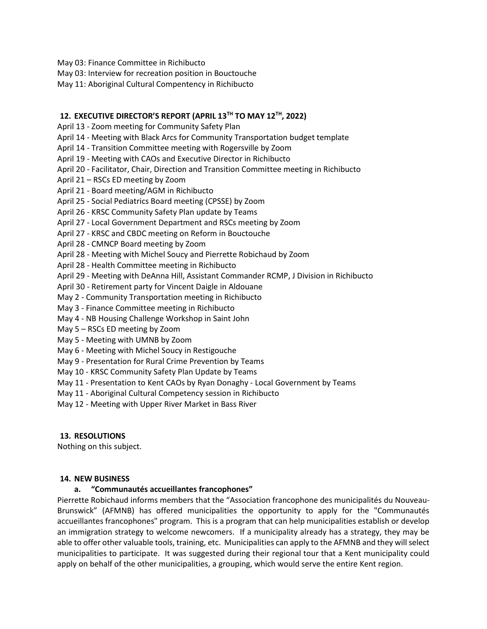- May 03: Finance Committee in Richibucto
- May 03: Interview for recreation position in Bouctouche
- May 11: Aboriginal Cultural Compentency in Richibucto

### **12. EXECUTIVE DIRECTOR'S REPORT (APRIL 13TH TO MAY 12TH, 2022)**

- April 13 Zoom meeting for Community Safety Plan
- April 14 Meeting with Black Arcs for Community Transportation budget template
- April 14 Transition Committee meeting with Rogersville by Zoom
- April 19 Meeting with CAOs and Executive Director in Richibucto
- April 20 Facilitator, Chair, Direction and Transition Committee meeting in Richibucto
- April 21 RSCs ED meeting by Zoom
- April 21 Board meeting/AGM in Richibucto
- April 25 Social Pediatrics Board meeting (CPSSE) by Zoom
- April 26 KRSC Community Safety Plan update by Teams
- April 27 Local Government Department and RSCs meeting by Zoom
- April 27 KRSC and CBDC meeting on Reform in Bouctouche
- April 28 CMNCP Board meeting by Zoom
- April 28 Meeting with Michel Soucy and Pierrette Robichaud by Zoom
- April 28 Health Committee meeting in Richibucto
- April 29 Meeting with DeAnna Hill, Assistant Commander RCMP, J Division in Richibucto
- April 30 Retirement party for Vincent Daigle in Aldouane
- May 2 Community Transportation meeting in Richibucto
- May 3 Finance Committee meeting in Richibucto
- May 4 NB Housing Challenge Workshop in Saint John
- May 5 RSCs ED meeting by Zoom
- May 5 Meeting with UMNB by Zoom
- May 6 Meeting with Michel Soucy in Restigouche
- May 9 Presentation for Rural Crime Prevention by Teams
- May 10 KRSC Community Safety Plan Update by Teams
- May 11 Presentation to Kent CAOs by Ryan Donaghy Local Government by Teams
- May 11 Aboriginal Cultural Competency session in Richibucto
- May 12 Meeting with Upper River Market in Bass River

# **13. RESOLUTIONS**

Nothing on this subject.

#### **14. NEW BUSINESS**

# **a. "Communautés accueillantes francophones"**

Pierrette Robichaud informs members that the "Association francophone des municipalités du Nouveau-Brunswick" (AFMNB) has offered municipalities the opportunity to apply for the "Communautés accueillantes francophones" program. This is a program that can help municipalities establish or develop an immigration strategy to welcome newcomers. If a municipality already has a strategy, they may be able to offer other valuable tools, training, etc. Municipalities can apply to the AFMNB and they will select municipalities to participate. It was suggested during their regional tour that a Kent municipality could apply on behalf of the other municipalities, a grouping, which would serve the entire Kent region.